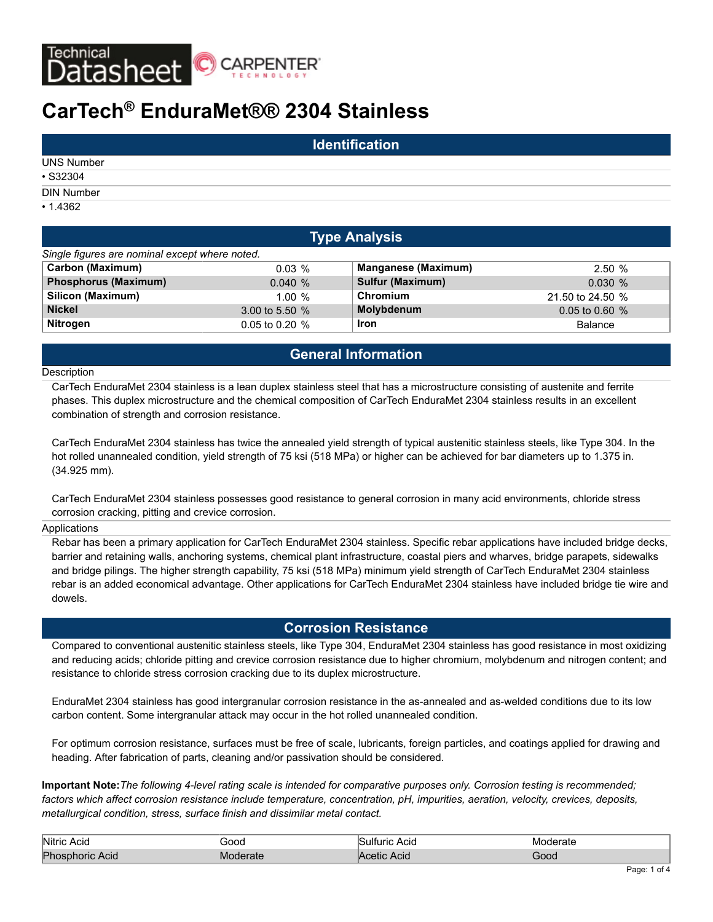

# **CarTech® EnduraMet®® 2304 Stainless**

|                   | <b>Identification</b> |  |
|-------------------|-----------------------|--|
| <b>UNS Number</b> |                       |  |
| $•$ S32304        |                       |  |
| <b>DIN Number</b> |                       |  |
| $\cdot$ 1.4362    |                       |  |

| <b>Type Analysis</b>                           |                  |                            |                  |  |  |  |  |  |  |  |
|------------------------------------------------|------------------|----------------------------|------------------|--|--|--|--|--|--|--|
| Single figures are nominal except where noted. |                  |                            |                  |  |  |  |  |  |  |  |
| <b>Carbon (Maximum)</b>                        | $0.03\%$         | <b>Manganese (Maximum)</b> | 2.50%            |  |  |  |  |  |  |  |
| <b>Phosphorus (Maximum)</b>                    | 0.040%           | Sulfur (Maximum)           | 0.030%           |  |  |  |  |  |  |  |
| Silicon (Maximum)                              | 1.00%            | Chromium                   | 21.50 to 24.50 % |  |  |  |  |  |  |  |
| <b>Nickel</b>                                  | 3.00 to 5.50 $%$ | Molybdenum                 | $0.05$ to 0.60 % |  |  |  |  |  |  |  |
| <b>Nitrogen</b>                                | $0.05$ to 0.20 % | <b>Iron</b>                | <b>Balance</b>   |  |  |  |  |  |  |  |

# **General Information**

#### **Description**

CarTech EnduraMet 2304 stainless is a lean duplex stainless steel that has a microstructure consisting of austenite and ferrite phases. This duplex microstructure and the chemical composition of CarTech EnduraMet 2304 stainless results in an excellent combination of strength and corrosion resistance.

CarTech EnduraMet 2304 stainless has twice the annealed yield strength of typical austenitic stainless steels, like Type 304. In the hot rolled unannealed condition, yield strength of 75 ksi (518 MPa) or higher can be achieved for bar diameters up to 1.375 in. (34.925 mm).

CarTech EnduraMet 2304 stainless possesses good resistance to general corrosion in many acid environments, chloride stress corrosion cracking, pitting and crevice corrosion.

#### Applications

Rebar has been a primary application for CarTech EnduraMet 2304 stainless. Specific rebar applications have included bridge decks, barrier and retaining walls, anchoring systems, chemical plant infrastructure, coastal piers and wharves, bridge parapets, sidewalks and bridge pilings. The higher strength capability, 75 ksi (518 MPa) minimum yield strength of CarTech EnduraMet 2304 stainless rebar is an added economical advantage. Other applications for CarTech EnduraMet 2304 stainless have included bridge tie wire and dowels.

# **Corrosion Resistance**

Compared to conventional austenitic stainless steels, like Type 304, EnduraMet 2304 stainless has good resistance in most oxidizing and reducing acids; chloride pitting and crevice corrosion resistance due to higher chromium, molybdenum and nitrogen content; and resistance to chloride stress corrosion cracking due to its duplex microstructure.

EnduraMet 2304 stainless has good intergranular corrosion resistance in the as-annealed and as-welded conditions due to its low carbon content. Some intergranular attack may occur in the hot rolled unannealed condition.

For optimum corrosion resistance, surfaces must be free of scale, lubricants, foreign particles, and coatings applied for drawing and heading. After fabrication of parts, cleaning and/or passivation should be considered.

**Important Note:***The following 4-level rating scale is intended for comparative purposes only. Corrosion testing is recommended; factors which affect corrosion resistance include temperature, concentration, pH, impurities, aeration, velocity, crevices, deposits, metallurgical condition, stress, surface finish and dissimilar metal contact.*

| Nitric<br>Acia      | anci | Acio<br>' Ilti<br>ırıc | ∩חו<br>rate           |
|---------------------|------|------------------------|-----------------------|
| Phos<br>Acid<br>юнс |      | Acic<br>etic           | <b>JOOG</b><br>______ |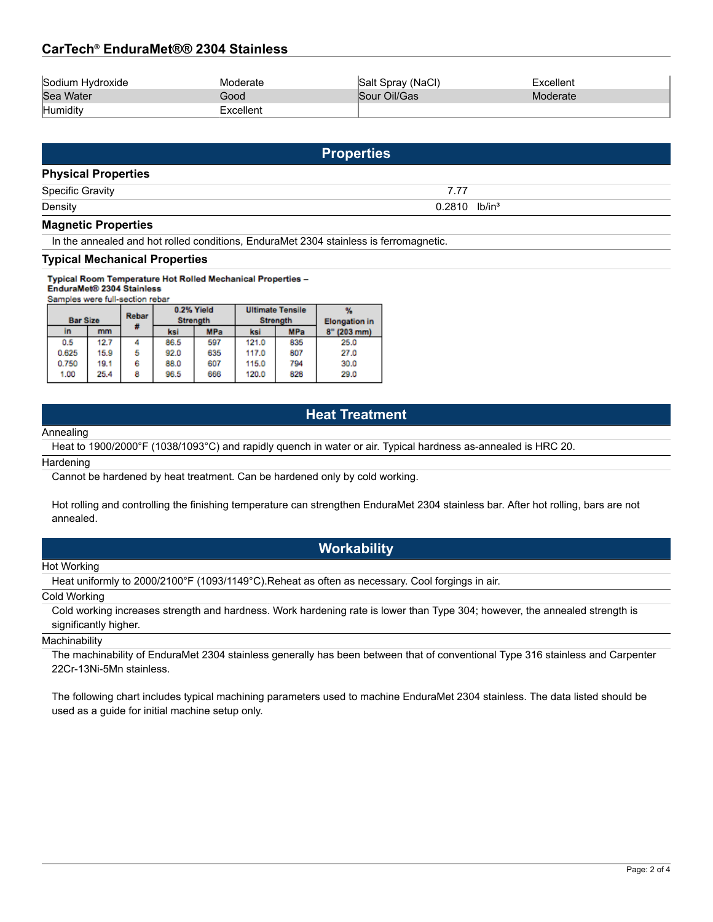# **CarTech® EnduraMet®® 2304 Stainless**

| Sodium Hydroxide | ∧oderate  | Salt Spray (NaCl) | ⊤xcellenı |
|------------------|-----------|-------------------|-----------|
| Sea Water        | Good      | Sour Oil/Gas      | Moderate  |
| Humidity         | Excellent |                   |           |

|                            | <b>Properties</b>           |  |
|----------------------------|-----------------------------|--|
| <b>Physical Properties</b> |                             |  |
| <b>Specific Gravity</b>    | 7.77                        |  |
| Density                    | $0.2810$ lb/in <sup>3</sup> |  |
| <b>Magnetic Properties</b> |                             |  |

In the annealed and hot rolled conditions, EnduraMet 2304 stainless is ferromagnetic.

#### **Typical Mechanical Properties**

Typical Room Temperature Hot Rolled Mechanical Properties -EnduraMet<sup>®</sup> 2304 Stainless

Samples were full-section rebar

| <b>Bar Size</b> |      | Rebar |      | 0.2% Yield<br><b>Strength</b> |       | <b>Ultimate Tensile</b><br><b>Strength</b> | <b>Elongation</b> in |
|-----------------|------|-------|------|-------------------------------|-------|--------------------------------------------|----------------------|
| In              | mm   |       | ksi  | <b>MPa</b>                    | ksi   | <b>MPa</b>                                 | $8''$ (203 mm)       |
| 0.5             | 12.7 |       | 86.5 | 597                           | 121.0 | 835                                        | 25.0                 |
| 0.625           | 15.9 | 5     | 92.0 | 635                           | 117.0 | 807                                        | 27.0                 |
| 0.750           | 19.1 | 6     | 88.0 | 607                           | 115.0 | 794                                        | 30.0                 |
| 1.00            | 25.4 | 8     | 96.5 | 666                           | 120.0 | 828                                        | 29.0                 |

# **Heat Treatment**

#### Annealing

Heat to 1900/2000°F (1038/1093°C) and rapidly quench in water or air. Typical hardness as-annealed is HRC 20.

**Hardening** 

Cannot be hardened by heat treatment. Can be hardened only by cold working.

Hot rolling and controlling the finishing temperature can strengthen EnduraMet 2304 stainless bar. After hot rolling, bars are not annealed.

# **Workability**

#### Hot Working

Heat uniformly to 2000/2100°F (1093/1149°C).Reheat as often as necessary. Cool forgings in air.

#### Cold Working

Cold working increases strength and hardness. Work hardening rate is lower than Type 304; however, the annealed strength is significantly higher.

#### **Machinability**

The machinability of EnduraMet 2304 stainless generally has been between that of conventional Type 316 stainless and Carpenter 22Cr-13Ni-5Mn stainless.

The following chart includes typical machining parameters used to machine EnduraMet 2304 stainless. The data listed should be used as a guide for initial machine setup only.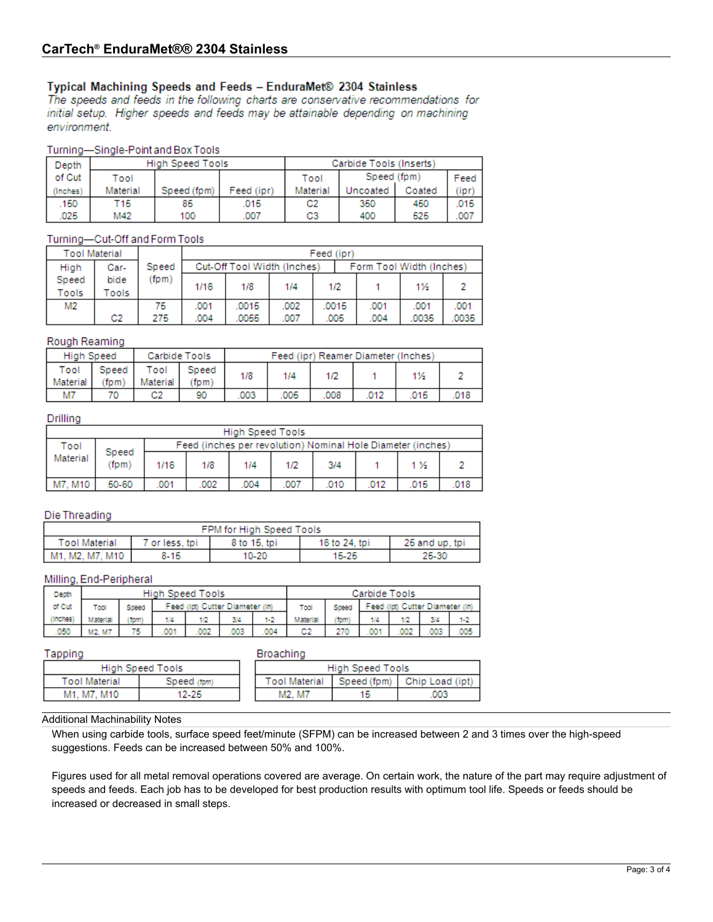# Typical Machining Speeds and Feeds - EnduraMet® 2304 Stainless

The speeds and feeds in the following charts are conservative recommendations for initial setup. Higher speeds and feeds may be attainable depending on machining environment.

## Turning-Single-Point and Box Tools

| Depth    |          | High Speed Tools |            | Carbide Tools (Inserts) |             |        |      |  |
|----------|----------|------------------|------------|-------------------------|-------------|--------|------|--|
| of Cut   | Tool     |                  |            | Tool                    | Speed (fpm) |        | Feed |  |
| (Inches) | Material | Speed (fom)      | Feed (ipr) | Material                | Uncoated    | Coated | (ipr |  |
| 150      | T15      | 85               | .015       | C2                      | 350         | 450    | .015 |  |
| .025     | M42      | 100              | .007       | C3                      | 400         | 525    | .007 |  |

## Turning-Cut-Off and Form Tools

| <b>Tool Material</b>  |                |       | Feed (ipr)                                              |       |      |  |       |      |      |      |
|-----------------------|----------------|-------|---------------------------------------------------------|-------|------|--|-------|------|------|------|
| High                  | Car-           | Speed | Cut-Off Tool Width (Inches)<br>Form Tool Width (Inches) |       |      |  |       |      |      |      |
| Speed<br><b>Tools</b> | bide<br>ools   | (fpm) | 1/16                                                    | 1/8   | 1/4  |  | 1/2   |      | 1%   |      |
| M <sub>2</sub>        |                | 75    | .001                                                    | .0015 | .002 |  | .0015 | .001 | .001 | .001 |
|                       | C <sub>2</sub> | 275   | .007<br>.004<br>.0055                                   |       |      |  | .005  | .004 | 0035 | 0035 |

## Rough Reaming

| <b>High Speed</b><br>Carbide Tools |               |                  |              | Feed (ipr) Reamer Diameter (Inches) |      |      |      |     |      |
|------------------------------------|---------------|------------------|--------------|-------------------------------------|------|------|------|-----|------|
| Tool<br>Material                   | Speed<br>'fom | Tool<br>Material | Speed<br>fom | 1/8                                 | 1/4  |      |      | 1%  |      |
| M7                                 | 70.           | C2               | 90           | .003                                | .005 | .008 | .012 | 015 | .018 |

## Drilling

|          | <b>High Speed Tools</b> |      |                                                             |      |      |      |      |                |      |  |  |
|----------|-------------------------|------|-------------------------------------------------------------|------|------|------|------|----------------|------|--|--|
| Tool     |                         |      | Feed (inches per revolution) Nominal Hole Diameter (inches) |      |      |      |      |                |      |  |  |
| Material | Speed<br>(fom)          | 1/16 | 1/8                                                         | 1/4  | 1/2  | 3/4  |      | 1 <sub>2</sub> |      |  |  |
| M7. M10  | 50-60                   | .001 | 002                                                         | .004 | .007 | .010 | .012 | 015            | .018 |  |  |

## Die Threading

| FPM for High Speed Tools |              |              |               |                |  |  |  |  |  |
|--------------------------|--------------|--------------|---------------|----------------|--|--|--|--|--|
| <b>Tool Material</b>     | or less, tpi | 8 to 15, tpi | 16 to 24, tpi | 25 and up, tpi |  |  |  |  |  |
| M1. M2. M7. M10          | $8 - 15$     | 10-20        | 15-25         | 25-30          |  |  |  |  |  |

## Milling, End-Peripheral

| Depth   | High Speed Tools |       |                                 |     |     |         |          | Carbide Tools |     |                              |     |  |
|---------|------------------|-------|---------------------------------|-----|-----|---------|----------|---------------|-----|------------------------------|-----|--|
| of Cut  | Tool             | Speed | Feed (lpt) Cutter Diameter (ln) |     |     |         | Tool     | Speed         |     | Feed (lpt) Cutter Diameter ( |     |  |
| Inches) | Material         | 1pm   | 1/4                             | 1/2 | 34  | $1 - 2$ | Aaterial | tom           |     |                              | 34  |  |
| 050     | M2. M7           | 75    | 001                             | 002 | 003 | 004     | C2       | 270           | 001 | 002                          | 003 |  |

#### Tapping

|--|--|

| High Speed Tools     |             | High Speed Tools     |  |                             |
|----------------------|-------------|----------------------|--|-----------------------------|
| <b>Tool Material</b> | Speed (fom) | <b>Tool Material</b> |  | Speed (fom) Chip Load (ipt) |
| M1. M7. M10          | 12-25       | M2. M7               |  | 003                         |

## Additional Machinability Notes

When using carbide tools, surface speed feet/minute (SFPM) can be increased between 2 and 3 times over the high-speed suggestions. Feeds can be increased between 50% and 100%.

Figures used for all metal removal operations covered are average. On certain work, the nature of the part may require adjustment of speeds and feeds. Each job has to be developed for best production results with optimum tool life. Speeds or feeds should be increased or decreased in small steps.